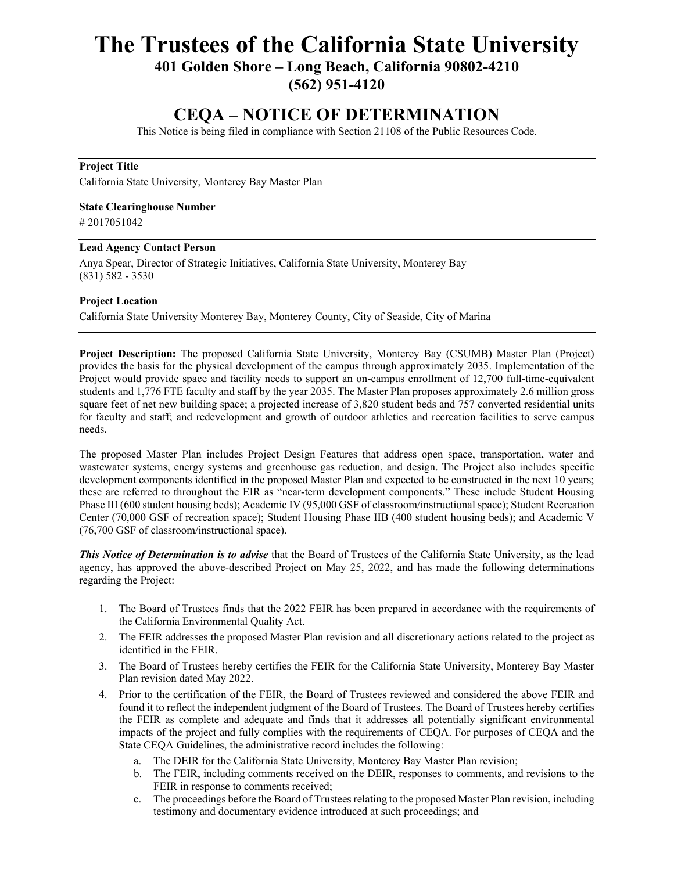# **The Trustees of the California State University**

**401 Golden Shore – Long Beach, California 90802-4210** 

**(562) 951-4120** 

# **CEQA – NOTICE OF DETERMINATION**

This Notice is being filed in compliance with Section 21108 of the Public Resources Code.

## **Project Title**

California State University, Monterey Bay Master Plan

### **State Clearinghouse Number**

# 2017051042

#### **Lead Agency Contact Person**

Anya Spear, Director of Strategic Initiatives, California State University, Monterey Bay (831) 582 - 3530

#### **Project Location**

California State University Monterey Bay, Monterey County, City of Seaside, City of Marina

**Project Description:** The proposed California State University, Monterey Bay (CSUMB) Master Plan (Project) provides the basis for the physical development of the campus through approximately 2035. Implementation of the Project would provide space and facility needs to support an on-campus enrollment of 12,700 full-time-equivalent students and 1,776 FTE faculty and staff by the year 2035. The Master Plan proposes approximately 2.6 million gross square feet of net new building space; a projected increase of 3,820 student beds and 757 converted residential units for faculty and staff; and redevelopment and growth of outdoor athletics and recreation facilities to serve campus needs.

The proposed Master Plan includes Project Design Features that address open space, transportation, water and wastewater systems, energy systems and greenhouse gas reduction, and design. The Project also includes specific development components identified in the proposed Master Plan and expected to be constructed in the next 10 years; these are referred to throughout the EIR as "near-term development components." These include Student Housing Phase III (600 student housing beds); Academic IV (95,000 GSF of classroom/instructional space); Student Recreation Center (70,000 GSF of recreation space); Student Housing Phase IIB (400 student housing beds); and Academic V (76,700 GSF of classroom/instructional space).

*This Notice of Determination is to advise* that the Board of Trustees of the California State University, as the lead agency, has approved the above-described Project on May 25, 2022, and has made the following determinations regarding the Project:

- 1. The Board of Trustees finds that the 2022 FEIR has been prepared in accordance with the requirements of the California Environmental Quality Act.
- 2. The FEIR addresses the proposed Master Plan revision and all discretionary actions related to the project as identified in the FEIR.
- 3. The Board of Trustees hereby certifies the FEIR for the California State University, Monterey Bay Master Plan revision dated May 2022.
- 4. Prior to the certification of the FEIR, the Board of Trustees reviewed and considered the above FEIR and found it to reflect the independent judgment of the Board of Trustees. The Board of Trustees hereby certifies the FEIR as complete and adequate and finds that it addresses all potentially significant environmental impacts of the project and fully complies with the requirements of CEQA. For purposes of CEQA and the State CEQA Guidelines, the administrative record includes the following:
	- a. The DEIR for the California State University, Monterey Bay Master Plan revision;
	- b. The FEIR, including comments received on the DEIR, responses to comments, and revisions to the FEIR in response to comments received;
	- c. The proceedings before the Board of Trustees relating to the proposed Master Plan revision, including testimony and documentary evidence introduced at such proceedings; and